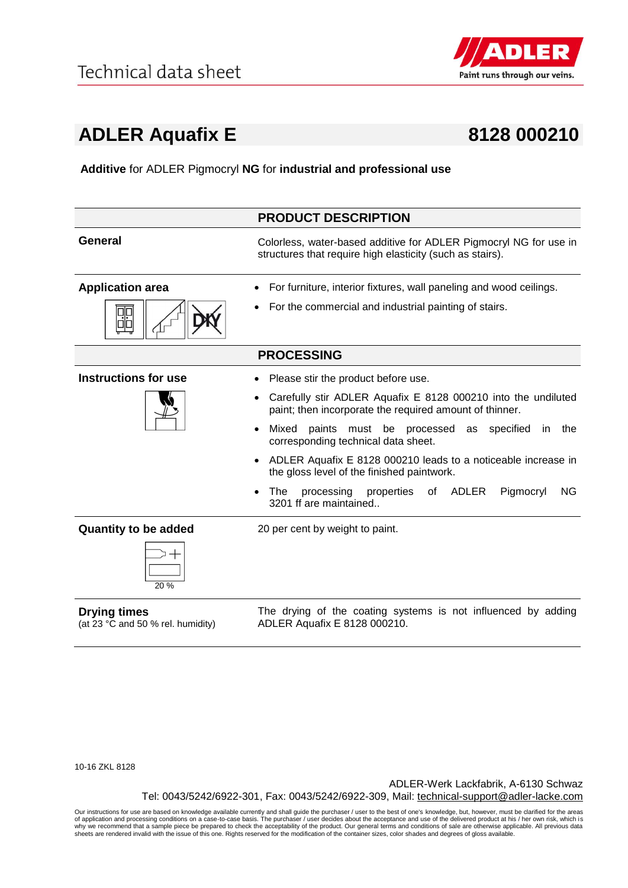

## **ADLER Aquafix E 8128 000210**

**Additive** for ADLER Pigmocryl **NG** for **industrial and professional use**

|                             | <b>PRODUCT DESCRIPTION</b>                                                                                                     |
|-----------------------------|--------------------------------------------------------------------------------------------------------------------------------|
| <b>General</b>              | Colorless, water-based additive for ADLER Pigmocryl NG for use in<br>structures that require high elasticity (such as stairs). |
| <b>Application area</b>     | For furniture, interior fixtures, wall paneling and wood ceilings.                                                             |
|                             | For the commercial and industrial painting of stairs.                                                                          |
|                             | <b>PROCESSING</b>                                                                                                              |
| <b>Instructions for use</b> | Please stir the product before use.                                                                                            |
|                             | Carefully stir ADLER Aquafix E 8128 000210 into the undiluted<br>paint; then incorporate the required amount of thinner.       |
|                             | Mixed<br>paints must be processed<br>as specified<br>the<br>in.<br>corresponding technical data sheet.                         |
|                             | ADLER Aquafix E 8128 000210 leads to a noticeable increase in<br>the gloss level of the finished paintwork.                    |
|                             | of ADLER<br>The<br>properties<br>Pigmocryl<br>NG.<br>processing<br>$\bullet$<br>3201 ff are maintained.                        |
| <b>Quantity to be added</b> | 20 per cent by weight to paint.                                                                                                |
| 20%                         |                                                                                                                                |
| Drvina times                | The drying of the coating systems is not influenced by adding                                                                  |

## **Drying times**

(at 23 °C and 50 % rel. humidity)

The arying of the coating systems is not influenced by adding ADLER Aquafix E 8128 000210.

10-16 ZKL 8128

ADLER-Werk Lackfabrik, A-6130 Schwaz Tel: 0043/5242/6922-301, Fax: 0043/5242/6922-309, Mail: technical-support@adler-lacke.com

Our instructions for use are based on knowledge available currently and shall guide the purchaser / user to the best of one's knowledge, but, however, must be clarified for the areas of application and processing conditions on a case-to-case basis. The purchaser / user decides about the acceptance and use of the delivered product at his / her own risk, which is<br>why we recommend that a sample piece be p